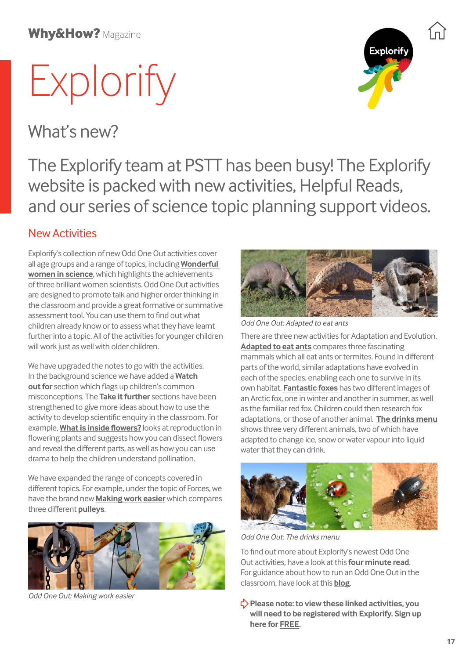## **Why&How? Magazine**

# Explorify

What's new?



The Explorify team at PSTT has been busy! The Explorify website is packed with new activities, Helpful Reads, and our series of science topic planning support videos.

## New Activities

Explorify's collection of new Odd One Out activities cover all age groups and a range of topics, including **[Wonderful](https://explorify.uk/en/activities/odd-one-out/wonderful-women-in-science)  [women in science](https://explorify.uk/en/activities/odd-one-out/wonderful-women-in-science)**, which highlights the achievements of three brilliant women scientists. Odd One Out activities are designed to promote talk and higher order thinking in the classroom and provide a great formative or summative assessment tool. You can use them to find out what children already know or to assess what they have learnt further into a topic. All of the activities for younger children will work just as well with older children.

We have upgraded the notes to go with the activities. In the background science we have added a **Watch out for** section which flags up children's common misconceptions. The **Take it further** sections have been strengthened to give more ideas about how to use the activity to develop scientific enquiry in the classroom. For example, **[What is inside flowers?](https://explorify.uk/en/activities/odd-one-out/what-is-inside-flowers)** looks at reproduction in flowering plants and suggests how you can dissect flowers and reveal the different parts, as well as how you can use drama to help the children understand pollination.

We have expanded the range of concepts covered in different topics. For example, under the topic of Forces, we have the brand new **[Making work easier](https://explorify.uk/en/activities/odd-one-out/making-work-easier)** which compares three different **pulleys**.



*Odd One Out: Making work easier*



*Odd One Out: Adapted to eat ants*

There are three new activities for Adaptation and Evolution. **[Adapted to eat ants](https://explorify.uk/en/activities/odd-one-out/adapted-to-eat-ants)** compares three fascinating mammals which all eat ants or termites. Found in different parts of the world, similar adaptations have evolved in each of the species, enabling each one to survive in its own habitat. **[Fantastic foxes](https://explorify.uk/en/activities/odd-one-out/fantastic-foxes)** has two different images of an Arctic fox, one in winter and another in summer, as well as the familiar red fox. Children could then research fox adaptations, or those of another animal. **[The drinks menu](https://explorify.uk/en/activities/odd-one-out/the-drinks-menu)** shows three very different animals, two of which have adapted to change ice, snow or water vapour into liquid water that they can drink.



*Odd One Out: The drinks menu*

To find out more about Explorify's newest Odd One Out activities, have a look at this **[four minute read](https://explorify.uk/teaching-support/using-explorify/new-odd-one-out-activities)**. For guidance about how to run an Odd One Out in the classroom, have look at this **[blog](https://explorify.uk/teaching-support/using-explorify/top-tips-odd-one-out-activities)**.

**Please note: to view these linked activities, you will need to be registered with Explorify. Sign up here for [FREE](https://explorify.uk/register/your-details?signup_btn=header).**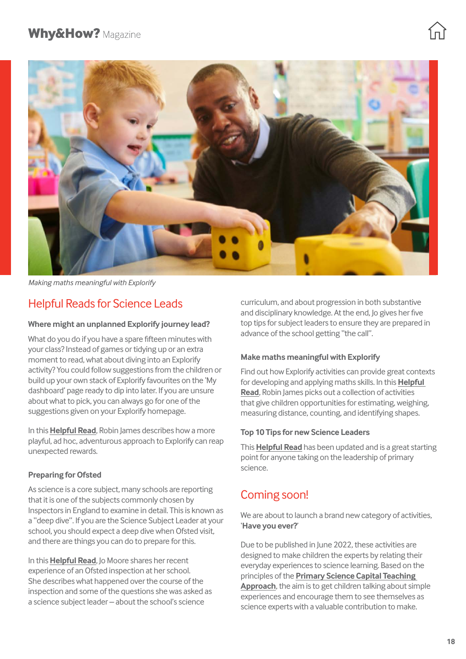

*Making maths meaningful with Explorify*

## Helpful Reads for Science Leads

#### **Where might an unplanned Explorify journey lead?**

What do you do if you have a spare fifteen minutes with your class? Instead of games or tidying up or an extra moment to read, what about diving into an Explorify activity? You could follow suggestions from the children or build up your own stack of Explorify favourites on the 'My dashboard' page ready to dip into later. If you are unsure about what to pick, you can always go for one of the suggestions given on your Explorify homepage.

In this **[Helpful Read](https://explorify.uk/teaching-support/using-explorify/where-might-an-unplanned-explorify-journey-lead)**, Robin James describes how a more playful, ad hoc, adventurous approach to Explorify can reap unexpected rewards.

### **Preparing for Ofsted**

As science is a core subject, many schools are reporting that it is one of the subjects commonly chosen by Inspectors in England to examine in detail. This is known as a "deep dive". If you are the Science Subject Leader at your school, you should expect a deep dive when Ofsted visit, and there are things you can do to prepare for this.

In this **[Helpful Read](https://explorify.uk/teaching-support/leading-science/preparing-for-ofsted)**, Jo Moore shares her recent experience of an Ofsted inspection at her school. She describes what happened over the course of the inspection and some of the questions she was asked as a science subject leader – about the school's science

curriculum, and about progression in both substantive and disciplinary knowledge. At the end, Jo gives her five top tips for subject leaders to ensure they are prepared in advance of the school getting "the call".

#### **Make maths meaningful with Explorify**

Find out how Explorify activities can provide great contexts for developing and applying maths skills. In this **[Helpful](https://explorify.uk/teaching-support/using-explorify/make-maths-meaningful-with-explorify)  [Read](https://explorify.uk/teaching-support/using-explorify/make-maths-meaningful-with-explorify)**, Robin James picks out a collection of activities that give children opportunities for estimating, weighing, measuring distance, counting, and identifying shapes.

#### **Top 10 Tips for new Science Leaders**

This **[Helpful Read](https://explorify.uk/teaching-support/leading-science/top-10-tips-for-new-science-leaders)** has been updated and is a great starting point for anyone taking on the leadership of primary science.

## Coming soon!

We are about to launch a brand new category of activities, '**Have you ever?**'

Due to be published in June 2022, these activities are designed to make children the experts by relating their everyday experiences to science learning. Based on the principles of the **[Primary Science Capital Teaching](https://www.ucl.ac.uk/ioe/departments-and-centres/departments/education-practice-and-society/stem-participation-social-justice-research/primary-science-capital-project)  [Approach](https://www.ucl.ac.uk/ioe/departments-and-centres/departments/education-practice-and-society/stem-participation-social-justice-research/primary-science-capital-project)**, the aim is to get children talking about simple experiences and encourage them to see themselves as science experts with a valuable contribution to make.